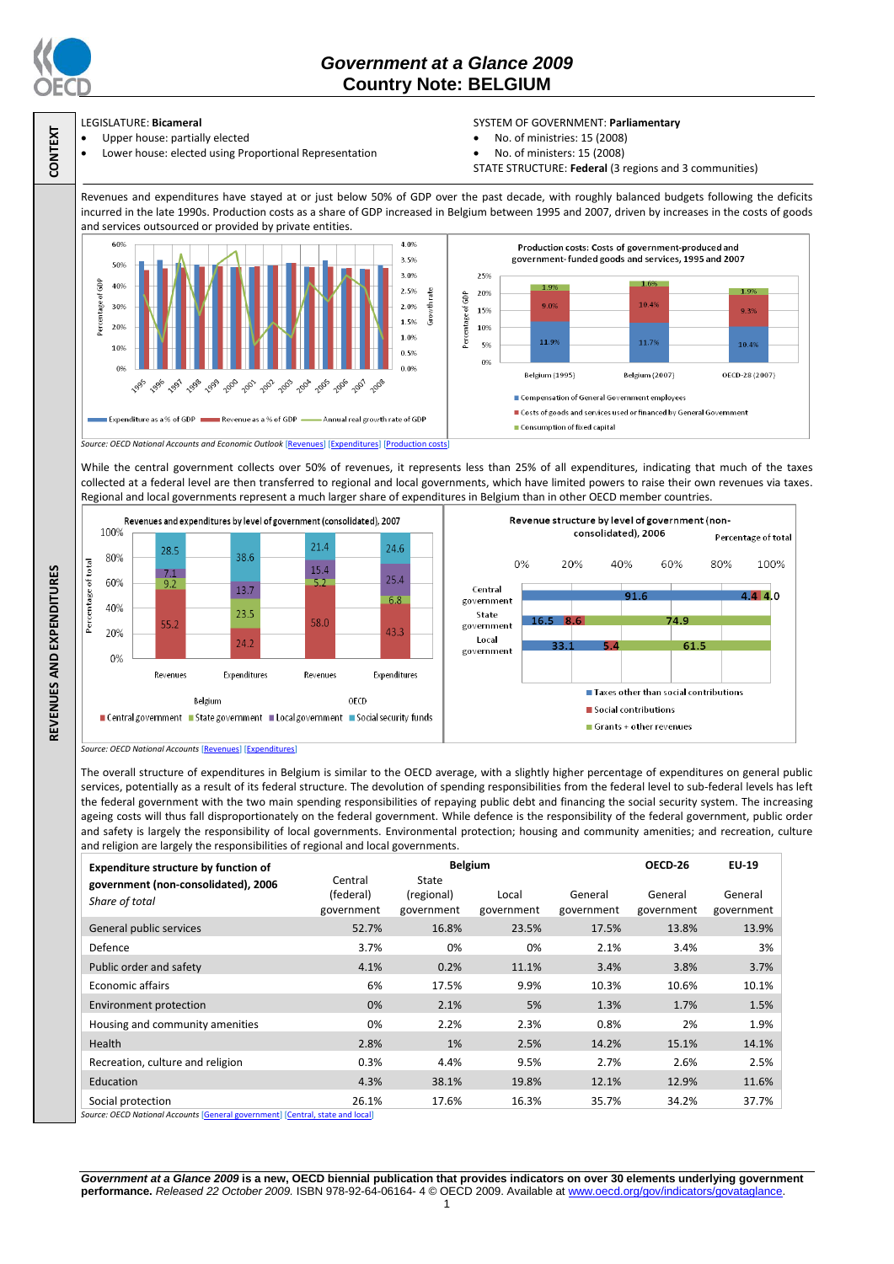

**CONTEXT**

# *Government at a Glance 2009*  **Country Note: BELGIUM**

## LEGISLATURE: **Bicameral**

- Upper house: partially elected
- Lower house: elected using Proportional Representation

### SYSTEM OF GOVERNMENT: **Parliamentary**

- No. of ministries: 15 (2008)
- No. of ministers: 15 (2008)
- STATE STRUCTURE: **Federal** (3 regions and 3 communities)

Revenues and expenditures have stayed at or just below 50% of GDP over the past decade, with roughly balanced budgets following the deficits incurred in the late 1990s. Production costs as a share of GDP increased in Belgium between 1995 and 2007, driven by increases in the costs of goods and services outsourced or provided by private entities



While the central government collects over 50% of revenues, it represents less than 25% of all expenditures, indicating that much of the taxes collected at a federal level are then transferred to regional and local governments, which have limited powers to raise their own revenues via taxes. Regional and local governments represent a much larger share of expenditures in Belgium than in other OECD member countries.



*Source: OECD National Accounts* [\[Revenues\]](http://dx.doi.org/10.1787/723418413857) [\[Expenditures\]](http://dx.doi.org/10.1787/723508524025)

The overall structure of expenditures in Belgium is similar to the OECD average, with a slightly higher percentage of expenditures on general public services, potentially as a result of its federal structure. The devolution of spending responsibilities from the federal level to sub-federal levels has left the federal government with the two main spending responsibilities of repaying public debt and financing the social security system. The increasing ageing costs will thus fall disproportionately on the federal government. While defence is the responsibility of the federal government, public order and safety is largely the responsibility of local governments. Environmental protection; housing and community amenities; and recreation, culture and religion are largely the responsibilities of regional and local governments.

| <b>Expenditure structure by function of</b>                                                       | <b>Belgium</b>                     |                                   |                     |                       | OECD 26               | <b>EU-19</b>          |
|---------------------------------------------------------------------------------------------------|------------------------------------|-----------------------------------|---------------------|-----------------------|-----------------------|-----------------------|
| government (non-consolidated), 2006<br>Share of total                                             | Central<br>(federal)<br>government | State<br>(regional)<br>government | Local<br>government | General<br>government | General<br>government | General<br>government |
| General public services                                                                           | 52.7%                              | 16.8%                             | 23.5%               | 17.5%                 | 13.8%                 | 13.9%                 |
| Defence                                                                                           | 3.7%                               | 0%                                | 0%                  | 2.1%                  | 3.4%                  | 3%                    |
| Public order and safety                                                                           | 4.1%                               | 0.2%                              | 11.1%               | 3.4%                  | 3.8%                  | 3.7%                  |
| Economic affairs                                                                                  | 6%                                 | 17.5%                             | 9.9%                | 10.3%                 | 10.6%                 | 10.1%                 |
| Environment protection                                                                            | 0%                                 | 2.1%                              | 5%                  | 1.3%                  | 1.7%                  | 1.5%                  |
| Housing and community amenities                                                                   | 0%                                 | 2.2%                              | 2.3%                | 0.8%                  | 2%                    | 1.9%                  |
| <b>Health</b>                                                                                     | 2.8%                               | 1%                                | 2.5%                | 14.2%                 | 15.1%                 | 14.1%                 |
| Recreation, culture and religion                                                                  | 0.3%                               | 4.4%                              | 9.5%                | 2.7%                  | 2.6%                  | 2.5%                  |
| Education                                                                                         | 4.3%                               | 38.1%                             | 19.8%               | 12.1%                 | 12.9%                 | 11.6%                 |
| Social protection<br>Course: OECD National Assounts [Conoral sousmmant] [Control state and local] | 26.1%                              | 17.6%                             | 16.3%               | 35.7%                 | 34.2%                 | 37.7%                 |

*Source: OECD National Accounts* [\[General government\]](http://dx.doi.org/10.1787/723501646741) [\[Central, state and local\]](http://dx.doi.org/10.1787/723508524025)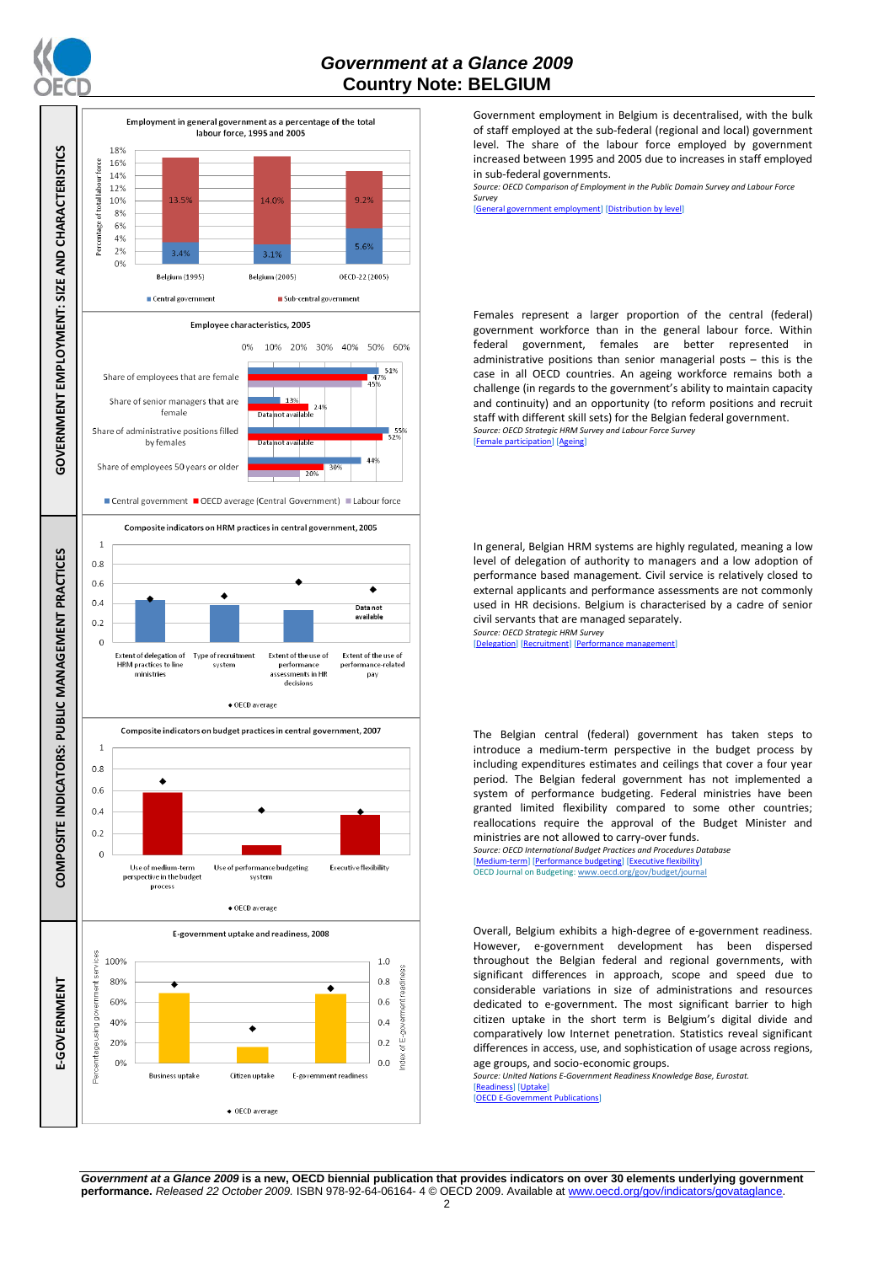



Government employment in Belgium is decentralised, with the bulk of staff employed at the sub-federal (regional and local) government level. The share of the labour force employed by government increased between 1995 and 2005 due to increases in staff employed in sub-federal governments.

*Source: OECD Comparison of Employment in the Public Domain Survey and Labour Force Survey*

,<br>ral government employment] [\[Distribution by level\]](http://dx.doi.org/10.1787/723627140760)

Females represent a larger proportion of the central (federal) government workforce than in the general labour force. Within federal government, females are better represented in administrative positions than senior managerial posts – this is the case in all OECD countries. An ageing workforce remains both a challenge (in regards to the government's ability to maintain capacity and continuity) and an opportunity (to reform positions and recruit staff with different skill sets) for the Belgian federal government. *Source: OECD Strategic HRM Survey and Labour Force Survey* [\[Female participation\]](http://dx.doi.org/10.1787/723642841533) [\[Ageing\]](http://dx.doi.org/10.1787/723656070327)

In general, Belgian HRM systems are highly regulated, meaning a low level of delegation of authority to managers and a low adoption of performance based management. Civil service is relatively closed to external applicants and performance assessments are not commonly used in HR decisions. Belgium is characterised by a cadre of senior civil servants that are managed separately.

*Source: OECD Strategic HRM Survey*  [\[Delegation\]](http://dx.doi.org/10.1787/723663744332) [\[Recruitment\]](http://dx.doi.org/10.1787/723668744361) [\[Performance management\]](http://dx.doi.org/10.1787/723750171710)

The Belgian central (federal) government has taken steps to introduce a medium-term perspective in the budget process by including expenditures estimates and ceilings that cover a four year period. The Belgian federal government has not implemented a system of performance budgeting. Federal ministries have been granted limited flexibility compared to some other countries; reallocations require the approval of the Budget Minister and ministries are not allowed to carry-over funds. *Source: OECD International Budget Practices and Procedures Database*

[\[Medium-term\]](http://dx.doi.org/10.1787/723856770865) [\[Performance budgeting\]](http://dx.doi.org/10.1787/723863437686) [\[Executive flexibility\]](http://dx.doi.org/10.1787/723876713213) OECD Journal on Budgeting[: www.oecd.org/gov/budget/journal](http://www.oecd.org/gov/budget/journal)

Overall, Belgium exhibits a high-degree of e-government readiness. However, e-government development has been dispersed throughout the Belgian federal and regional governments, with significant differences in approach, scope and speed due to considerable variations in size of administrations and resources dedicated to e-government. The most significant barrier to high citizen uptake in the short term is Belgium's digital divide and comparatively low Internet penetration. Statistics reveal significant differences in access, use, and sophistication of usage across regions, age groups, and socio-economic groups.

*Source: United Nations E-Government Readiness Knowledge Base, Eurostat.* [\[Readiness\]](http://dx.doi.org/10.1787/724248078408) [\[Uptake\]](http://dx.doi.org/10.1787/724264662272)<br>[OECD E-Governmen]

ernment Publications]

*Government at a Glance 2009* **is a new, OECD biennial publication that provides indicators on over 30 elements underlying government performance.** *Released 22 October 2009.* ISBN 978-92-64-06164- 4 © OECD 2009. Available at www.oecd.org/gov/indicators/govataglance.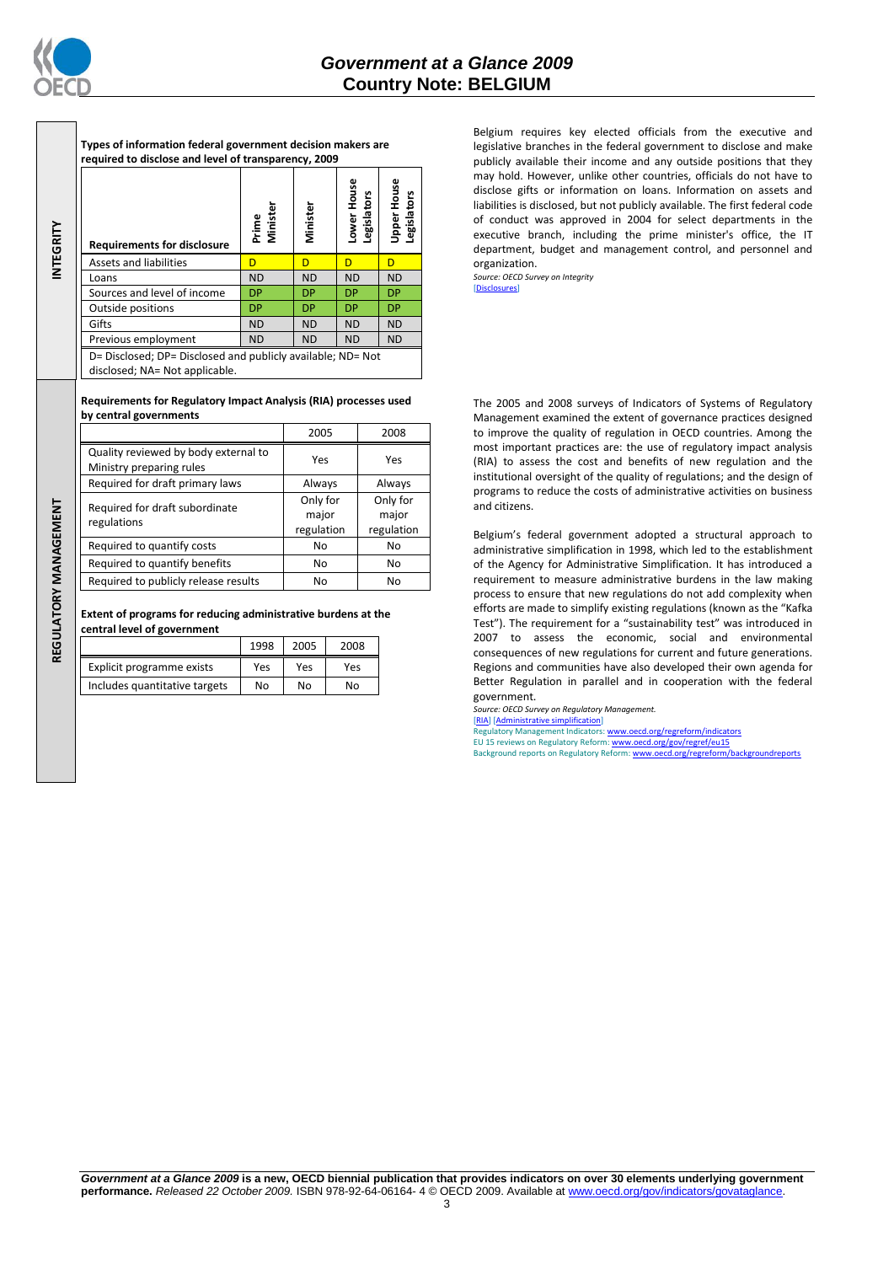

**INTEGRITY**

REGULATORY MANAGEMENT **REGULATORY MANAGEMENT**

**Types of information federal government decision makers are required to disclose and level of transparency, 2009**

| <b>Requirements for disclosure</b>                                                            | Minister<br>Prime | Minister  | Lower House<br>gislators<br>φ | Upper House<br>egislators |
|-----------------------------------------------------------------------------------------------|-------------------|-----------|-------------------------------|---------------------------|
| <b>Assets and liabilities</b>                                                                 | D                 | D         | D                             | D                         |
| Loans                                                                                         | <b>ND</b>         | <b>ND</b> | <b>ND</b>                     | <b>ND</b>                 |
| Sources and level of income                                                                   | <b>DP</b>         | <b>DP</b> | <b>DP</b>                     | <b>DP</b>                 |
| Outside positions                                                                             | <b>DP</b>         | <b>DP</b> | <b>DP</b>                     | <b>DP</b>                 |
| Gifts                                                                                         | <b>ND</b>         | <b>ND</b> | <b>ND</b>                     | <b>ND</b>                 |
| Previous employment                                                                           | <b>ND</b>         | <b>ND</b> | <b>ND</b>                     | <b>ND</b>                 |
| D= Disclosed; DP= Disclosed and publicly available; ND= Not<br>disclosed; NA= Not applicable. |                   |           |                               |                           |

#### **Requirements for Regulatory Impact Analysis (RIA) processes used by central governments**

|                                                                  | 2005                            | 2008                            |  |
|------------------------------------------------------------------|---------------------------------|---------------------------------|--|
| Quality reviewed by body external to<br>Ministry preparing rules | Yes                             | Yes                             |  |
| Required for draft primary laws                                  | Always                          | Always                          |  |
| Required for draft subordinate<br>regulations                    | Only for<br>major<br>regulation | Only for<br>major<br>regulation |  |
| Required to quantify costs                                       | No                              | No                              |  |
| Required to quantify benefits                                    | No                              | No                              |  |
| Required to publicly release results                             | No                              | No                              |  |

**Extent of programs for reducing administrative burdens at the central level of government**

|                               | 1998 | 2005 | 2008           |
|-------------------------------|------|------|----------------|
| Explicit programme exists     | Yes  | Yes  | Yes            |
| Includes quantitative targets | No   | No   | N <sub>0</sub> |

Belgium requires key elected officials from the executive and legislative branches in the federal government to disclose and make publicly available their income and any outside positions that they may hold. However, unlike other countries, officials do not have to disclose gifts or information on loans. Information on assets and liabilities is disclosed, but not publicly available. The first federal code of conduct was approved in 2004 for select departments in the executive branch, including the prime minister's office, the IT department, budget and management control, and personnel and organization.

*Source: OECD Survey on Integrity* [\[Disclosures\]](http://dx.doi.org/10.1787/724123642681)

The 2005 and 2008 surveys of Indicators of Systems of Regulatory Management examined the extent of governance practices designed to improve the quality of regulation in OECD countries. Among the most important practices are: the use of regulatory impact analysis (RIA) to assess the cost and benefits of new regulation and the institutional oversight of the quality of regulations; and the design of programs to reduce the costs of administrative activities on business and citizens.

Belgium's federal government adopted a structural approach to administrative simplification in 1998, which led to the establishment of the Agency for Administrative Simplification. It has introduced a requirement to measure administrative burdens in the law making process to ensure that new regulations do not add complexity when efforts are made to simplify existing regulations (known as the "Kafka Test"). The requirement for a "sustainability test" was introduced in 2007 to assess the economic, social and environmental consequences of new regulations for current and future generations. Regions and communities have also developed their own agenda for Better Regulation in parallel and in cooperation with the federal government.

*Source: OECD Survey on Regulatory Management.* [\[RIA\]](http://dx.doi.org/10.1787/724045144354) [\[Administrative simplification\]](http://dx.doi.org/10.1787/724058851054) Regulatory Management Indicators[: www.oecd.org/regreform/indicators](http://www.oecd.org/regreform/indicators) EU 15 reviews on Regulatory Reform[: www.oecd.org/gov/regref/eu15](http://www.oecd.org/gov/regref/eu15) Background reports on Regulatory Reform: www.oecd.org/regreform

*Government at a Glance 2009* **is a new, OECD biennial publication that provides indicators on over 30 elements underlying government performance.** *Released 22 October 2009.* ISBN 978-92-64-06164- 4 © OECD 2009. Available at www.oecd.org/gov/indicators/govataglance.